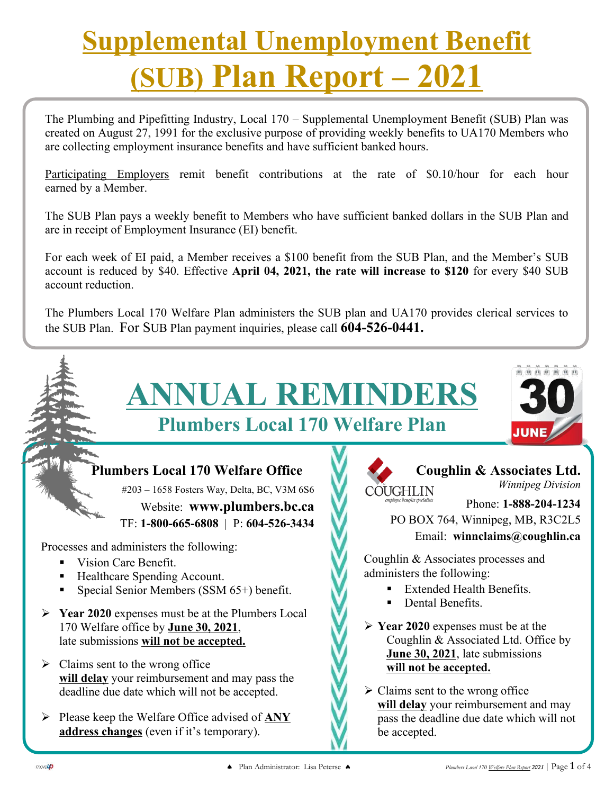# **Supplemental Unemployment Benefit (SUB) Plan Report – 2021**

The Plumbing and Pipefitting Industry, Local 170 – Supplemental Unemployment Benefit (SUB) Plan was created on August 27, 1991 for the exclusive purpose of providing weekly benefits to UA170 Members who are collecting employment insurance benefits and have sufficient banked hours. **Plumbers Local 170 Welfare Planner** 

Participating Employers remit benefit contributions at the rate of \$0.10/hour for each hour earned by a Member.

The SUB Plan pays a weekly benefit to Members who have sufficient banked dollars in the SUB Plan and are in receipt of Employment Insurance (EI) benefit.

For each week of EI paid, a Member receives a \$100 benefit from the SUB Plan, and the Member's SUB account is reduced by \$40. Effective **April 04, 2021, the rate will increase to \$120** for every \$40 SUB account reduction.

The Plumbers Local 170 Welfare Plan administers the SUB plan and UA170 provides clerical services to the SUB Plan. For SUB Plan payment inquiries, please call **604-526-0441.**

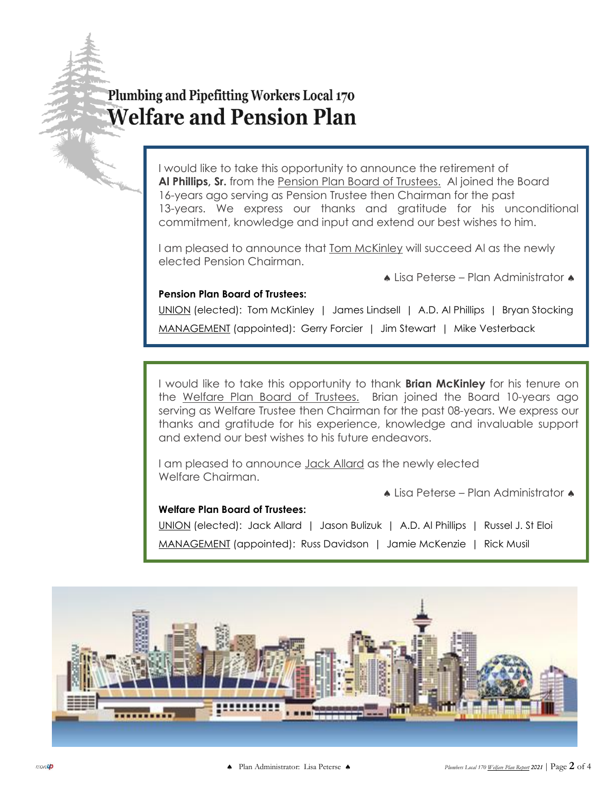## Plumbing and Pipefitting Workers Local 170 **Welfare and Pension Plan**

I would like to take this opportunity to announce the retirement of **Al Phillips, Sr.** from the Pension Plan Board of Trustees. Al joined the Board 16-years ago serving as Pension Trustee then Chairman for the past 13-years. We express our thanks and gratitude for his unconditional commitment, knowledge and input and extend our best wishes to him.

I am pleased to announce that **Tom McKinley will succeed AI as the newly** elected Pension Chairman.

• Lisa Peterse – Plan Administrator

#### **Pension Plan Board of Trustees:**

UNION (elected): Tom McKinley | James Lindsell | A.D. Al Phillips | Bryan Stocking MANAGEMENT (appointed): Gerry Forcier | Jim Stewart | Mike Vesterback

I would like to take this opportunity to thank **Brian McKinley** for his tenure on the Welfare Plan Board of Trustees. Brian joined the Board 10-years ago serving as Welfare Trustee then Chairman for the past 08-years. We express our thanks and gratitude for his experience, knowledge and invaluable support and extend our best wishes to his future endeavors.

I am pleased to announce Jack Allard as the newly elected Welfare Chairman.

 $\triangle$  Lisa Peterse – Plan Administrator  $\triangle$ 

#### **Welfare Plan Board of Trustees:**

UNION (elected): Jack Allard | Jason Bulizuk | A.D. Al Phillips | Russel J. St Eloi

MANAGEMENT (appointed): Russ Davidson | Jamie McKenzie | Rick Musil

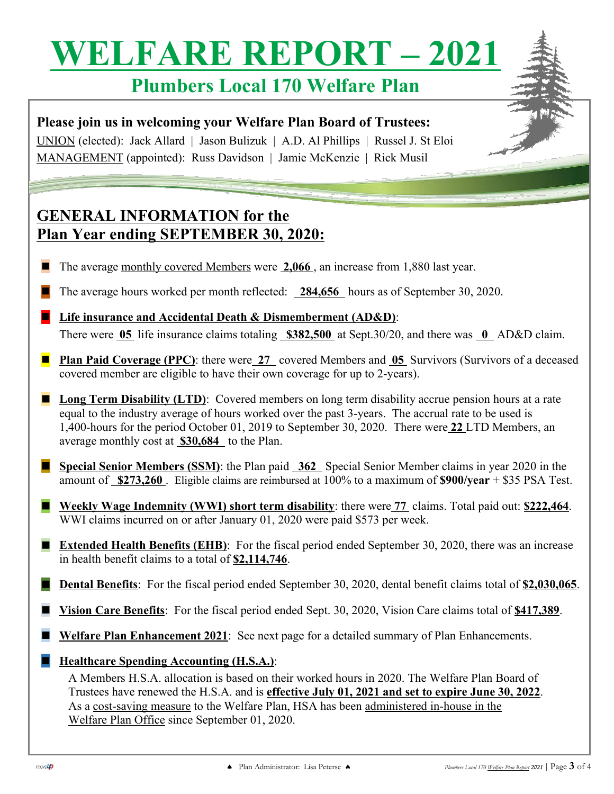# **WELFARE REPORT – 2021**

# **Plumbers Local 170 Welfare Plan**

**Please join us in welcoming your Welfare Plan Board of Trustees:** UNION (elected): Jack Allard | Jason Bulizuk | A.D. Al Phillips | Russel J. St Eloi

MANAGEMENT (appointed): Russ Davidson | Jamie McKenzie | Rick Musil

### **GENERAL INFORMATION for the Plan Year ending SEPTEMBER 30, 2020:**

- The average monthly covered Members were 2,066, an increase from 1,880 last year.
- The average hours worked per month reflected: 284,656 hours as of September 30, 2020.
- ◼ **Life insurance and Accidental Death & Dismemberment (AD&D)**: There were 05 life insurance claims totaling **\$382,500** at Sept.30/20, and there was **0** AD&D claim.
- Plan Paid Coverage (PPC): there were 27 covered Members and 05 Survivors (Survivors of a deceased covered member are eligible to have their own coverage for up to 2-years).
- Long Term Disability (LTD): Covered members on long term disability accrue pension hours at a rate equal to the industry average of hours worked over the past 3-years. The accrual rate to be used is 1,400-hours for the period October 01, 2019 to September 30, 2020. There were **22** LTD Members, an average monthly cost at **\$30,684** to the Plan.
- **Special Senior Members (SSM)**: the Plan paid 362 Special Senior Member claims in year 2020 in the amount of **\$273,260** . Eligible claims are reimbursed at 100% to a maximum of **\$900/year** + \$35 PSA Test.
- Weekly Wage Indemnity (WWI) short term disability: there were 77 claims. Total paid out: \$222,464. WWI claims incurred on or after January 01, 2020 were paid \$573 per week.
- **Extended Health Benefits (EHB)**: For the fiscal period ended September 30, 2020, there was an increase in health benefit claims to a total of **\$2,114,746**.
- **Dental Benefits**: For the fiscal period ended September 30, 2020, dental benefit claims total of \$2,030,065.
- **<u>Vision Care Benefits</u>**: For the fiscal period ended Sept. 30, 2020, Vision Care claims total of \$417,389.
- **Welfare Plan Enhancement 2021:** See next page for a detailed summary of Plan Enhancements.
- **Healthcare Spending Accounting (H.S.A.)**:

A Members H.S.A. allocation is based on their worked hours in 2020. The Welfare Plan Board of Trustees have renewed the H.S.A. and is **effective July 01, 2021 and set to expire June 30, 2022**. As a cost-saving measure to the Welfare Plan, HSA has been administered in-house in the Welfare Plan Office since September 01, 2020.